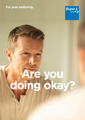# **For your wellbeing.**



# **Are you doing okay?**